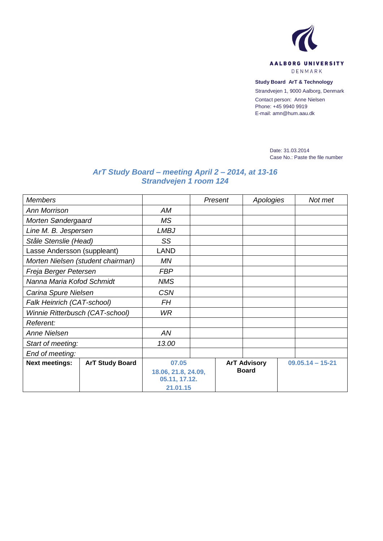

**Study Board ArT & Technology**

Strandvejen 1, 9000 Aalborg, Denmark

Contact person: Anne Nielsen Phone: +45 9940 9919 E-mail: amn@hum.aau.dk

> Date: 31.03.2014 Case No.: Paste the file number

## *ArT Study Board – meeting April 2 – 2014, at 13-16 Strandvejen 1 room 124*

| <b>Members</b>                    |                        |                           | Present | Apologies           |  | Not met            |  |
|-----------------------------------|------------------------|---------------------------|---------|---------------------|--|--------------------|--|
| <b>Ann Morrison</b>               |                        | AM                        |         |                     |  |                    |  |
| Morten Søndergaard                |                        | <b>MS</b>                 |         |                     |  |                    |  |
| Line M. B. Jespersen              |                        | <b>LMBJ</b>               |         |                     |  |                    |  |
| Ståle Stenslie (Head)             |                        | SS                        |         |                     |  |                    |  |
| Lasse Andersson (suppleant)       |                        | LAND                      |         |                     |  |                    |  |
| Morten Nielsen (student chairman) |                        | MN                        |         |                     |  |                    |  |
| Freja Berger Petersen             |                        | <b>FBP</b>                |         |                     |  |                    |  |
| Nanna Maria Kofod Schmidt         |                        | <b>NMS</b>                |         |                     |  |                    |  |
| Carina Spure Nielsen              |                        | <b>CSN</b>                |         |                     |  |                    |  |
| Falk Heinrich (CAT-school)        |                        | <b>FH</b>                 |         |                     |  |                    |  |
| Winnie Ritterbusch (CAT-school)   |                        | WR.                       |         |                     |  |                    |  |
| Referent:                         |                        |                           |         |                     |  |                    |  |
| Anne Nielsen                      |                        | AN                        |         |                     |  |                    |  |
| Start of meeting:                 |                        | 13.00                     |         |                     |  |                    |  |
| End of meeting:                   |                        |                           |         |                     |  |                    |  |
| <b>Next meetings:</b>             | <b>ArT Study Board</b> | 07.05                     |         | <b>ArT Advisory</b> |  | $09.05.14 - 15-21$ |  |
|                                   |                        | 18.06, 21.8, 24.09,       |         |                     |  |                    |  |
|                                   |                        |                           |         |                     |  |                    |  |
|                                   |                        | 05.11, 17.12.<br>21.01.15 |         | <b>Board</b>        |  |                    |  |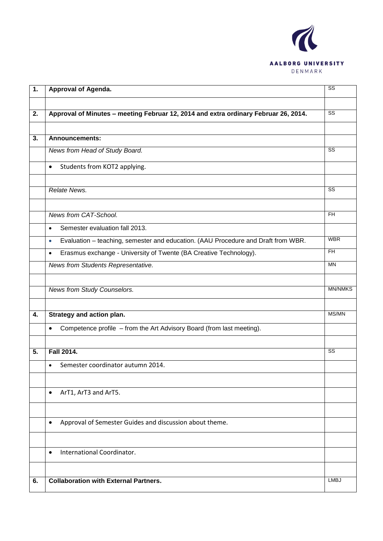

| $\overline{1}$ . | Approval of Agenda.                                                                            | $\overline{\text{ss}}$ |
|------------------|------------------------------------------------------------------------------------------------|------------------------|
|                  |                                                                                                |                        |
| 2.               | Approval of Minutes - meeting Februar 12, 2014 and extra ordinary Februar 26, 2014.            | SS                     |
|                  |                                                                                                |                        |
| 3.               | <b>Announcements:</b>                                                                          |                        |
|                  | News from Head of Study Board.                                                                 | $\overline{\text{ss}}$ |
|                  | Students from KOT2 applying.<br>$\bullet$                                                      |                        |
|                  |                                                                                                |                        |
|                  | Relate News.                                                                                   | $\overline{\text{ss}}$ |
|                  |                                                                                                |                        |
|                  | News from CAT-School.                                                                          | $\overline{H}$         |
|                  | Semester evaluation fall 2013.<br>$\bullet$                                                    |                        |
|                  | Evaluation - teaching, semester and education. (AAU Procedure and Draft from WBR.<br>$\bullet$ | <b>WBR</b>             |
|                  | Erasmus exchange - University of Twente (BA Creative Technology).<br>$\bullet$                 | $\overline{H}$         |
|                  | News from Students Representative.                                                             | <b>MN</b>              |
|                  |                                                                                                |                        |
|                  | <b>News from Study Counselors.</b>                                                             | <b>MN/NMKS</b>         |
|                  |                                                                                                |                        |
| 4.               | Strategy and action plan.                                                                      | MS/MN                  |
|                  | Competence profile - from the Art Advisory Board (from last meeting).<br>$\bullet$             |                        |
|                  |                                                                                                |                        |
| 5.               | <b>Fall 2014.</b>                                                                              | $\overline{\text{ss}}$ |
|                  | Semester coordinator autumn 2014.<br>$\bullet$                                                 |                        |
|                  |                                                                                                |                        |
|                  | ArT1, ArT3 and ArT5.<br>$\bullet$                                                              |                        |
|                  |                                                                                                |                        |
|                  |                                                                                                |                        |
|                  | Approval of Semester Guides and discussion about theme.<br>$\bullet$                           |                        |
|                  |                                                                                                |                        |
|                  | International Coordinator.<br>$\bullet$                                                        |                        |
|                  |                                                                                                |                        |
| 6.               | <b>Collaboration with External Partners.</b>                                                   | <b>LMBJ</b>            |
|                  |                                                                                                |                        |